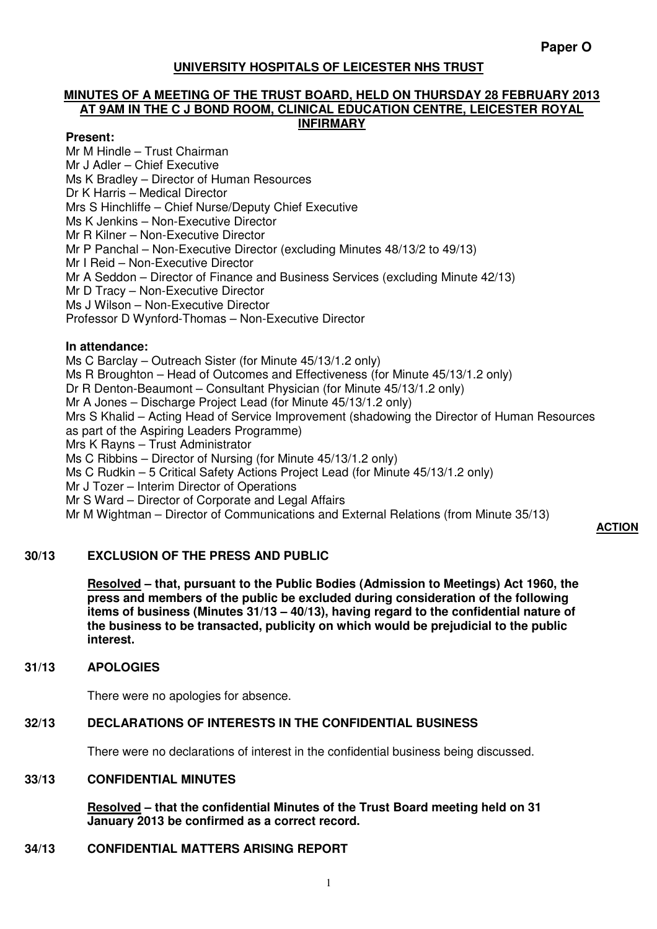# **UNIVERSITY HOSPITALS OF LEICESTER NHS TRUST**

#### **MINUTES OF A MEETING OF THE TRUST BOARD, HELD ON THURSDAY 28 FEBRUARY 2013 AT 9AM IN THE C J BOND ROOM, CLINICAL EDUCATION CENTRE, LEICESTER ROYAL INFIRMARY**

#### **Present:**

Mr M Hindle – Trust Chairman Mr J Adler – Chief Executive Ms K Bradley – Director of Human Resources Dr K Harris – Medical Director Mrs S Hinchliffe – Chief Nurse/Deputy Chief Executive Ms K Jenkins – Non-Executive Director Mr R Kilner – Non-Executive Director Mr P Panchal – Non-Executive Director (excluding Minutes 48/13/2 to 49/13) Mr I Reid – Non-Executive Director Mr A Seddon – Director of Finance and Business Services (excluding Minute 42/13) Mr D Tracy – Non-Executive Director Ms J Wilson – Non-Executive Director Professor D Wynford-Thomas – Non-Executive Director

#### **In attendance:**

Ms C Barclay – Outreach Sister (for Minute 45/13/1.2 only) Ms R Broughton – Head of Outcomes and Effectiveness (for Minute 45/13/1.2 only) Dr R Denton-Beaumont – Consultant Physician (for Minute 45/13/1.2 only) Mr A Jones – Discharge Project Lead (for Minute 45/13/1.2 only) Mrs S Khalid – Acting Head of Service Improvement (shadowing the Director of Human Resources as part of the Aspiring Leaders Programme) Mrs K Rayns – Trust Administrator Ms C Ribbins – Director of Nursing (for Minute 45/13/1.2 only) Ms C Rudkin – 5 Critical Safety Actions Project Lead (for Minute 45/13/1.2 only) Mr J Tozer – Interim Director of Operations Mr S Ward – Director of Corporate and Legal Affairs Mr M Wightman – Director of Communications and External Relations (from Minute 35/13)

#### **ACTION**

# **30/13 EXCLUSION OF THE PRESS AND PUBLIC**

**Resolved – that, pursuant to the Public Bodies (Admission to Meetings) Act 1960, the press and members of the public be excluded during consideration of the following items of business (Minutes 31/13 – 40/13), having regard to the confidential nature of the business to be transacted, publicity on which would be prejudicial to the public interest.** 

#### **31/13 APOLOGIES**

There were no apologies for absence.

# **32/13 DECLARATIONS OF INTERESTS IN THE CONFIDENTIAL BUSINESS**

There were no declarations of interest in the confidential business being discussed.

# **33/13 CONFIDENTIAL MINUTES**

**Resolved – that the confidential Minutes of the Trust Board meeting held on 31 January 2013 be confirmed as a correct record.** 

# **34/13 CONFIDENTIAL MATTERS ARISING REPORT**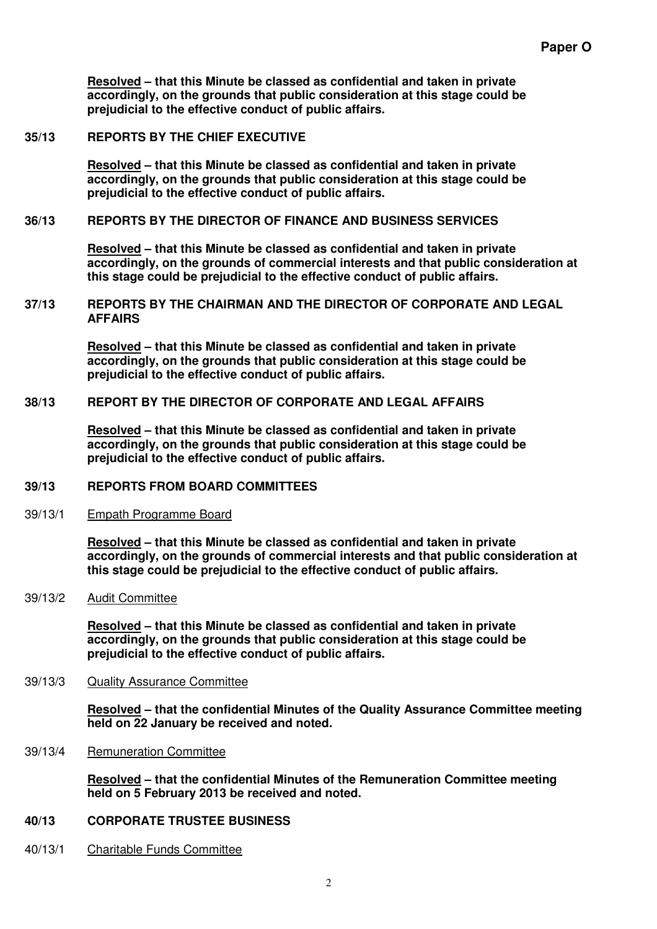**Resolved – that this Minute be classed as confidential and taken in private accordingly, on the grounds that public consideration at this stage could be prejudicial to the effective conduct of public affairs.** 

#### **35/13 REPORTS BY THE CHIEF EXECUTIVE**

**Resolved – that this Minute be classed as confidential and taken in private accordingly, on the grounds that public consideration at this stage could be prejudicial to the effective conduct of public affairs.** 

#### **36/13 REPORTS BY THE DIRECTOR OF FINANCE AND BUSINESS SERVICES**

**Resolved – that this Minute be classed as confidential and taken in private accordingly, on the grounds of commercial interests and that public consideration at this stage could be prejudicial to the effective conduct of public affairs.** 

#### **37/13 REPORTS BY THE CHAIRMAN AND THE DIRECTOR OF CORPORATE AND LEGAL AFFAIRS**

**Resolved – that this Minute be classed as confidential and taken in private accordingly, on the grounds that public consideration at this stage could be prejudicial to the effective conduct of public affairs.** 

### **38/13 REPORT BY THE DIRECTOR OF CORPORATE AND LEGAL AFFAIRS**

**Resolved – that this Minute be classed as confidential and taken in private accordingly, on the grounds that public consideration at this stage could be prejudicial to the effective conduct of public affairs.** 

#### **39/13 REPORTS FROM BOARD COMMITTEES**

#### 39/13/1 Empath Programme Board

**Resolved – that this Minute be classed as confidential and taken in private accordingly, on the grounds of commercial interests and that public consideration at this stage could be prejudicial to the effective conduct of public affairs.** 

#### 39/13/2 Audit Committee

**Resolved – that this Minute be classed as confidential and taken in private accordingly, on the grounds that public consideration at this stage could be prejudicial to the effective conduct of public affairs.** 

#### 39/13/3 Quality Assurance Committee

**Resolved – that the confidential Minutes of the Quality Assurance Committee meeting held on 22 January be received and noted.** 

39/13/4 Remuneration Committee

**Resolved – that the confidential Minutes of the Remuneration Committee meeting held on 5 February 2013 be received and noted.** 

# **40/13 CORPORATE TRUSTEE BUSINESS**

40/13/1 Charitable Funds Committee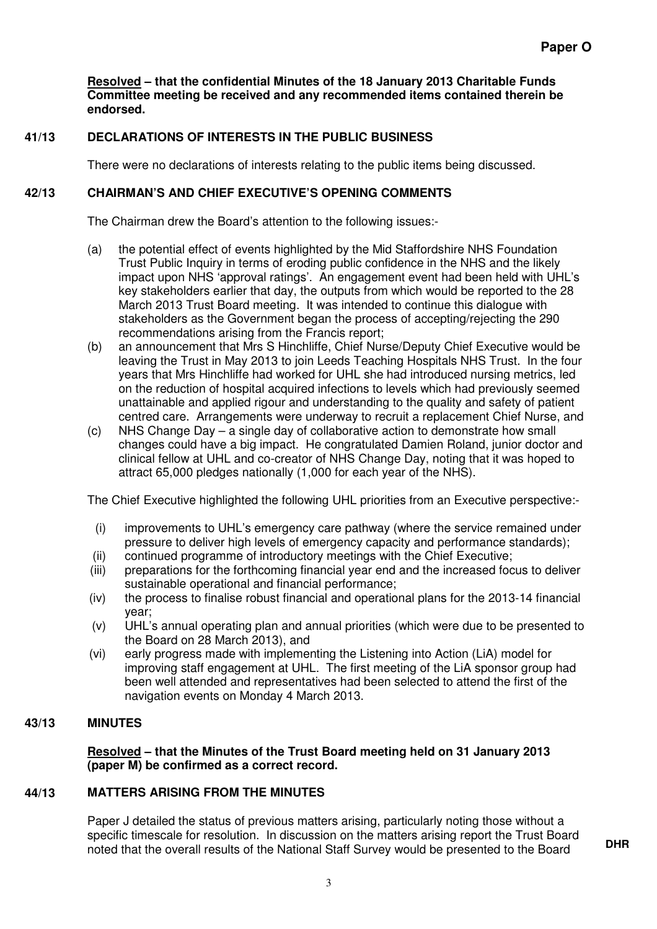**Resolved – that the confidential Minutes of the 18 January 2013 Charitable Funds Committee meeting be received and any recommended items contained therein be endorsed.** 

# **41/13 DECLARATIONS OF INTERESTS IN THE PUBLIC BUSINESS**

There were no declarations of interests relating to the public items being discussed.

# **42/13 CHAIRMAN'S AND CHIEF EXECUTIVE'S OPENING COMMENTS**

The Chairman drew the Board's attention to the following issues:-

- (a) the potential effect of events highlighted by the Mid Staffordshire NHS Foundation Trust Public Inquiry in terms of eroding public confidence in the NHS and the likely impact upon NHS 'approval ratings'. An engagement event had been held with UHL's key stakeholders earlier that day, the outputs from which would be reported to the 28 March 2013 Trust Board meeting. It was intended to continue this dialogue with stakeholders as the Government began the process of accepting/rejecting the 290 recommendations arising from the Francis report;
- (b) an announcement that Mrs S Hinchliffe, Chief Nurse/Deputy Chief Executive would be leaving the Trust in May 2013 to join Leeds Teaching Hospitals NHS Trust. In the four years that Mrs Hinchliffe had worked for UHL she had introduced nursing metrics, led on the reduction of hospital acquired infections to levels which had previously seemed unattainable and applied rigour and understanding to the quality and safety of patient centred care. Arrangements were underway to recruit a replacement Chief Nurse, and
- (c) NHS Change Day a single day of collaborative action to demonstrate how small changes could have a big impact. He congratulated Damien Roland, junior doctor and clinical fellow at UHL and co-creator of NHS Change Day, noting that it was hoped to attract 65,000 pledges nationally (1,000 for each year of the NHS).

The Chief Executive highlighted the following UHL priorities from an Executive perspective:-

- (i) improvements to UHL's emergency care pathway (where the service remained under pressure to deliver high levels of emergency capacity and performance standards);
- (ii) continued programme of introductory meetings with the Chief Executive;
- (iii) preparations for the forthcoming financial year end and the increased focus to deliver sustainable operational and financial performance;
- (iv) the process to finalise robust financial and operational plans for the 2013-14 financial year;
- (v) UHL's annual operating plan and annual priorities (which were due to be presented to the Board on 28 March 2013), and
- (vi) early progress made with implementing the Listening into Action (LiA) model for improving staff engagement at UHL. The first meeting of the LiA sponsor group had been well attended and representatives had been selected to attend the first of the navigation events on Monday 4 March 2013.

# **43/13 MINUTES**

**Resolved – that the Minutes of the Trust Board meeting held on 31 January 2013 (paper M) be confirmed as a correct record.** 

# **44/13 MATTERS ARISING FROM THE MINUTES**

Paper J detailed the status of previous matters arising, particularly noting those without a specific timescale for resolution. In discussion on the matters arising report the Trust Board noted that the overall results of the National Staff Survey would be presented to the Board **DHR**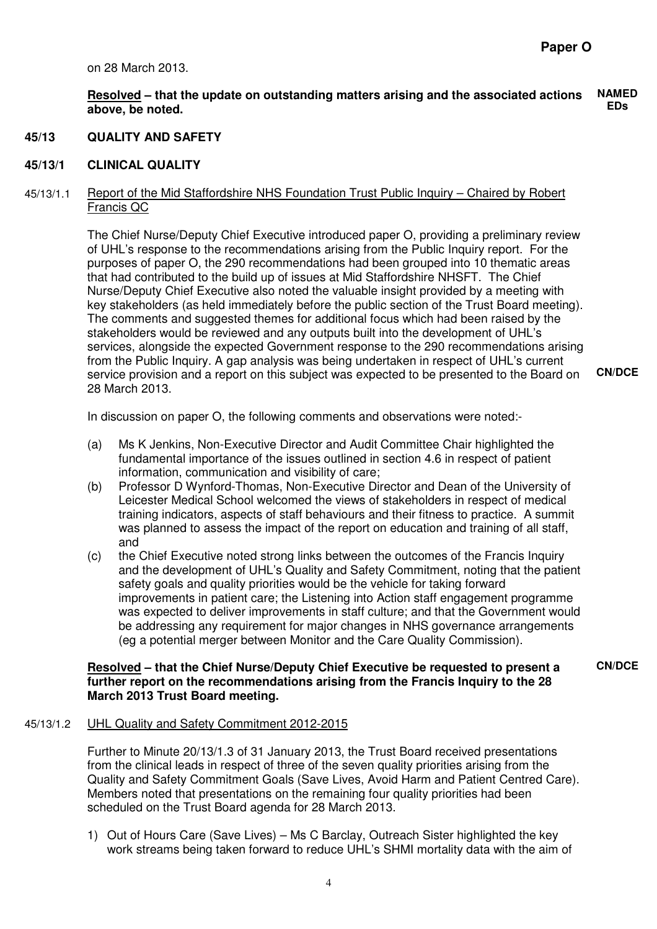on 28 March 2013.

**Resolved – that the update on outstanding matters arising and the associated actions above, be noted. NAMED EDs** 

#### **45/13 QUALITY AND SAFETY**

#### **45/13/1 CLINICAL QUALITY**

#### 45/13/1.1 Report of the Mid Staffordshire NHS Foundation Trust Public Inquiry – Chaired by Robert Francis QC

The Chief Nurse/Deputy Chief Executive introduced paper O, providing a preliminary review of UHL's response to the recommendations arising from the Public Inquiry report. For the purposes of paper O, the 290 recommendations had been grouped into 10 thematic areas that had contributed to the build up of issues at Mid Staffordshire NHSFT. The Chief Nurse/Deputy Chief Executive also noted the valuable insight provided by a meeting with key stakeholders (as held immediately before the public section of the Trust Board meeting). The comments and suggested themes for additional focus which had been raised by the stakeholders would be reviewed and any outputs built into the development of UHL's services, alongside the expected Government response to the 290 recommendations arising from the Public Inquiry. A gap analysis was being undertaken in respect of UHL's current service provision and a report on this subject was expected to be presented to the Board on 28 March 2013. **CN/DCE** 

In discussion on paper O, the following comments and observations were noted:-

- (a) Ms K Jenkins, Non-Executive Director and Audit Committee Chair highlighted the fundamental importance of the issues outlined in section 4.6 in respect of patient information, communication and visibility of care;
- (b) Professor D Wynford-Thomas, Non-Executive Director and Dean of the University of Leicester Medical School welcomed the views of stakeholders in respect of medical training indicators, aspects of staff behaviours and their fitness to practice. A summit was planned to assess the impact of the report on education and training of all staff, and
- (c) the Chief Executive noted strong links between the outcomes of the Francis Inquiry and the development of UHL's Quality and Safety Commitment, noting that the patient safety goals and quality priorities would be the vehicle for taking forward improvements in patient care; the Listening into Action staff engagement programme was expected to deliver improvements in staff culture; and that the Government would be addressing any requirement for major changes in NHS governance arrangements (eg a potential merger between Monitor and the Care Quality Commission).

#### **Resolved – that the Chief Nurse/Deputy Chief Executive be requested to present a further report on the recommendations arising from the Francis Inquiry to the 28 March 2013 Trust Board meeting.**

**CN/DCE** 

#### 45/13/1.2 UHL Quality and Safety Commitment 2012-2015

Further to Minute 20/13/1.3 of 31 January 2013, the Trust Board received presentations from the clinical leads in respect of three of the seven quality priorities arising from the Quality and Safety Commitment Goals (Save Lives, Avoid Harm and Patient Centred Care). Members noted that presentations on the remaining four quality priorities had been scheduled on the Trust Board agenda for 28 March 2013.

1) Out of Hours Care (Save Lives) – Ms C Barclay, Outreach Sister highlighted the key work streams being taken forward to reduce UHL's SHMI mortality data with the aim of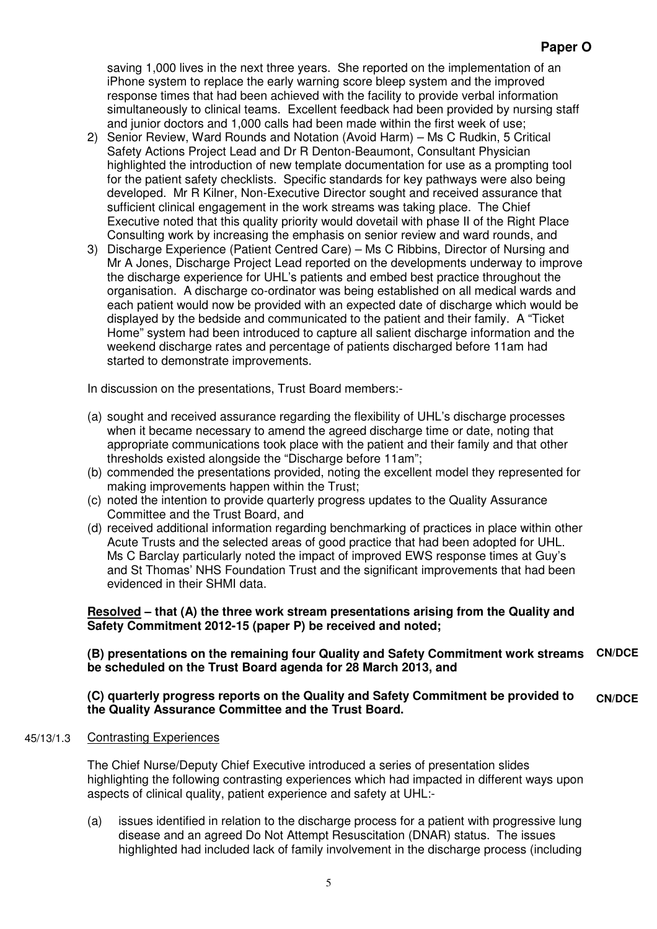saving 1,000 lives in the next three years. She reported on the implementation of an iPhone system to replace the early warning score bleep system and the improved response times that had been achieved with the facility to provide verbal information simultaneously to clinical teams. Excellent feedback had been provided by nursing staff and junior doctors and 1,000 calls had been made within the first week of use;

- 2) Senior Review, Ward Rounds and Notation (Avoid Harm) Ms C Rudkin, 5 Critical Safety Actions Project Lead and Dr R Denton-Beaumont, Consultant Physician highlighted the introduction of new template documentation for use as a prompting tool for the patient safety checklists. Specific standards for key pathways were also being developed. Mr R Kilner, Non-Executive Director sought and received assurance that sufficient clinical engagement in the work streams was taking place. The Chief Executive noted that this quality priority would dovetail with phase II of the Right Place Consulting work by increasing the emphasis on senior review and ward rounds, and
- 3) Discharge Experience (Patient Centred Care) Ms C Ribbins, Director of Nursing and Mr A Jones, Discharge Project Lead reported on the developments underway to improve the discharge experience for UHL's patients and embed best practice throughout the organisation. A discharge co-ordinator was being established on all medical wards and each patient would now be provided with an expected date of discharge which would be displayed by the bedside and communicated to the patient and their family. A "Ticket Home" system had been introduced to capture all salient discharge information and the weekend discharge rates and percentage of patients discharged before 11am had started to demonstrate improvements.

In discussion on the presentations, Trust Board members:-

- (a) sought and received assurance regarding the flexibility of UHL's discharge processes when it became necessary to amend the agreed discharge time or date, noting that appropriate communications took place with the patient and their family and that other thresholds existed alongside the "Discharge before 11am";
- (b) commended the presentations provided, noting the excellent model they represented for making improvements happen within the Trust;
- (c) noted the intention to provide quarterly progress updates to the Quality Assurance Committee and the Trust Board, and
- (d) received additional information regarding benchmarking of practices in place within other Acute Trusts and the selected areas of good practice that had been adopted for UHL. Ms C Barclay particularly noted the impact of improved EWS response times at Guy's and St Thomas' NHS Foundation Trust and the significant improvements that had been evidenced in their SHMI data.

# **Resolved – that (A) the three work stream presentations arising from the Quality and Safety Commitment 2012-15 (paper P) be received and noted;**

#### **(B) presentations on the remaining four Quality and Safety Commitment work streams be scheduled on the Trust Board agenda for 28 March 2013, and CN/DCE**

#### **(C) quarterly progress reports on the Quality and Safety Commitment be provided to the Quality Assurance Committee and the Trust Board. CN/DCE**

# 45/13/1.3 Contrasting Experiences

The Chief Nurse/Deputy Chief Executive introduced a series of presentation slides highlighting the following contrasting experiences which had impacted in different ways upon aspects of clinical quality, patient experience and safety at UHL:-

(a) issues identified in relation to the discharge process for a patient with progressive lung disease and an agreed Do Not Attempt Resuscitation (DNAR) status. The issues highlighted had included lack of family involvement in the discharge process (including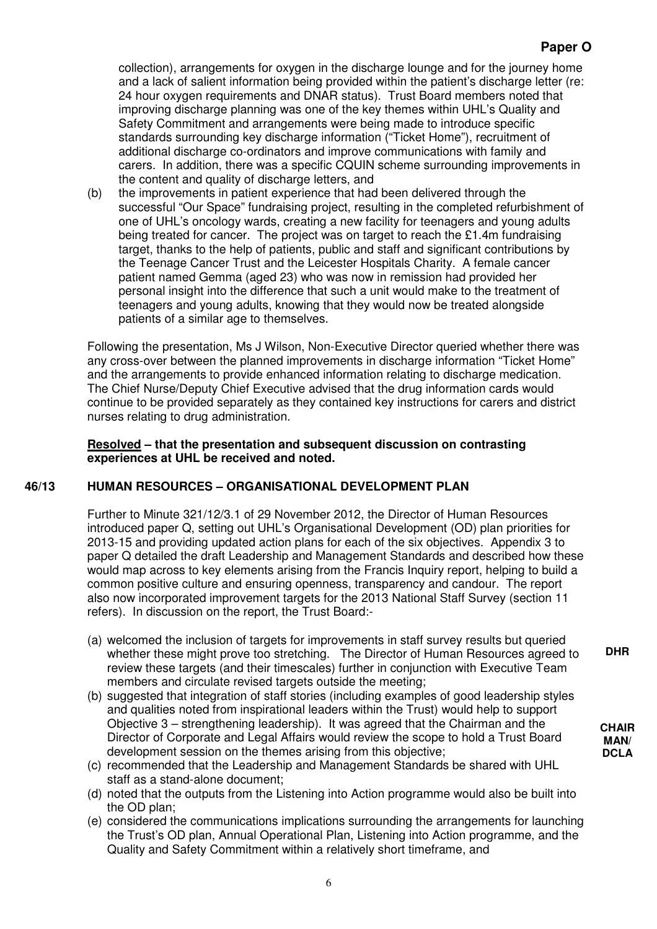collection), arrangements for oxygen in the discharge lounge and for the journey home and a lack of salient information being provided within the patient's discharge letter (re: 24 hour oxygen requirements and DNAR status). Trust Board members noted that improving discharge planning was one of the key themes within UHL's Quality and Safety Commitment and arrangements were being made to introduce specific standards surrounding key discharge information ("Ticket Home"), recruitment of additional discharge co-ordinators and improve communications with family and carers. In addition, there was a specific CQUIN scheme surrounding improvements in the content and quality of discharge letters, and

(b) the improvements in patient experience that had been delivered through the successful "Our Space" fundraising project, resulting in the completed refurbishment of one of UHL's oncology wards, creating a new facility for teenagers and young adults being treated for cancer. The project was on target to reach the £1.4m fundraising target, thanks to the help of patients, public and staff and significant contributions by the Teenage Cancer Trust and the Leicester Hospitals Charity. A female cancer patient named Gemma (aged 23) who was now in remission had provided her personal insight into the difference that such a unit would make to the treatment of teenagers and young adults, knowing that they would now be treated alongside patients of a similar age to themselves.

Following the presentation, Ms J Wilson, Non-Executive Director queried whether there was any cross-over between the planned improvements in discharge information "Ticket Home" and the arrangements to provide enhanced information relating to discharge medication. The Chief Nurse/Deputy Chief Executive advised that the drug information cards would continue to be provided separately as they contained key instructions for carers and district nurses relating to drug administration.

# **Resolved – that the presentation and subsequent discussion on contrasting experiences at UHL be received and noted.**

# **46/13 HUMAN RESOURCES – ORGANISATIONAL DEVELOPMENT PLAN**

Further to Minute 321/12/3.1 of 29 November 2012, the Director of Human Resources introduced paper Q, setting out UHL's Organisational Development (OD) plan priorities for 2013-15 and providing updated action plans for each of the six objectives. Appendix 3 to paper Q detailed the draft Leadership and Management Standards and described how these would map across to key elements arising from the Francis Inquiry report, helping to build a common positive culture and ensuring openness, transparency and candour. The report also now incorporated improvement targets for the 2013 National Staff Survey (section 11 refers). In discussion on the report, the Trust Board:-

- (a) welcomed the inclusion of targets for improvements in staff survey results but queried whether these might prove too stretching. The Director of Human Resources agreed to review these targets (and their timescales) further in conjunction with Executive Team members and circulate revised targets outside the meeting;
- (b) suggested that integration of staff stories (including examples of good leadership styles and qualities noted from inspirational leaders within the Trust) would help to support Objective 3 – strengthening leadership). It was agreed that the Chairman and the Director of Corporate and Legal Affairs would review the scope to hold a Trust Board development session on the themes arising from this objective;
- (c) recommended that the Leadership and Management Standards be shared with UHL staff as a stand-alone document;
- (d) noted that the outputs from the Listening into Action programme would also be built into the OD plan;
- (e) considered the communications implications surrounding the arrangements for launching the Trust's OD plan, Annual Operational Plan, Listening into Action programme, and the Quality and Safety Commitment within a relatively short timeframe, and

**DHR** 

**CHAIR MAN/ DCLA**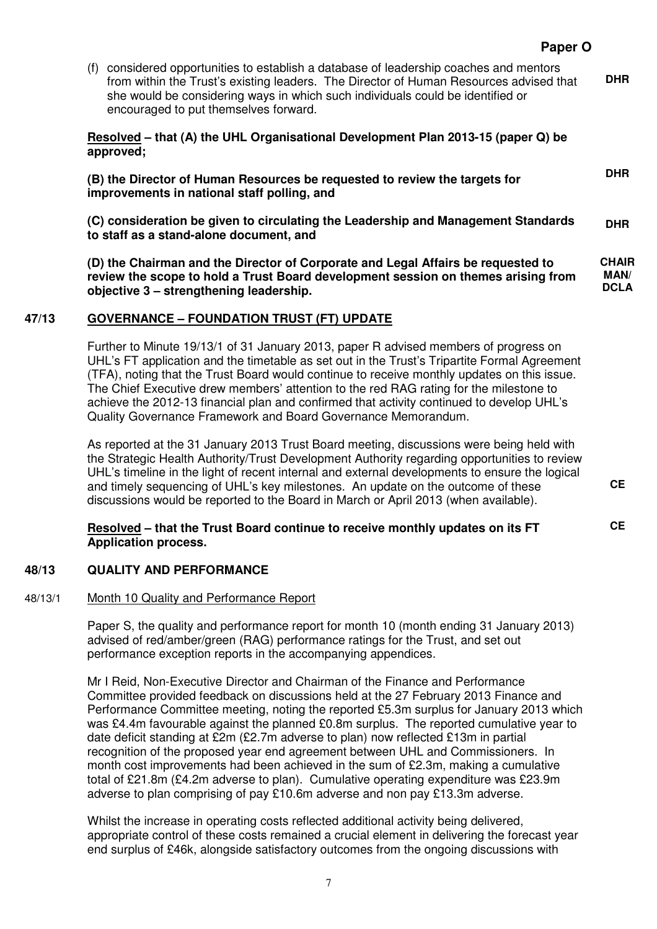(f) considered opportunities to establish a database of leadership coaches and mentors from within the Trust's existing leaders. The Director of Human Resources advised that she would be considering ways in which such individuals could be identified or encouraged to put themselves forward. **DHR** 

**Resolved – that (A) the UHL Organisational Development Plan 2013-15 (paper Q) be approved;** 

**(B) the Director of Human Resources be requested to review the targets for improvements in national staff polling, and** 

**(C) consideration be given to circulating the Leadership and Management Standards to staff as a stand-alone document, and DHR** 

**(D) the Chairman and the Director of Corporate and Legal Affairs be requested to review the scope to hold a Trust Board development session on themes arising from objective 3 – strengthening leadership. CHAIR MAN/ DCLA** 

# **47/13 GOVERNANCE – FOUNDATION TRUST (FT) UPDATE**

Further to Minute 19/13/1 of 31 January 2013, paper R advised members of progress on UHL's FT application and the timetable as set out in the Trust's Tripartite Formal Agreement (TFA), noting that the Trust Board would continue to receive monthly updates on this issue. The Chief Executive drew members' attention to the red RAG rating for the milestone to achieve the 2012-13 financial plan and confirmed that activity continued to develop UHL's Quality Governance Framework and Board Governance Memorandum.

As reported at the 31 January 2013 Trust Board meeting, discussions were being held with the Strategic Health Authority/Trust Development Authority regarding opportunities to review UHL's timeline in the light of recent internal and external developments to ensure the logical and timely sequencing of UHL's key milestones. An update on the outcome of these discussions would be reported to the Board in March or April 2013 (when available).

**Resolved – that the Trust Board continue to receive monthly updates on its FT Application process.** 

# **48/13 QUALITY AND PERFORMANCE**

#### 48/13/1 Month 10 Quality and Performance Report

Paper S, the quality and performance report for month 10 (month ending 31 January 2013) advised of red/amber/green (RAG) performance ratings for the Trust, and set out performance exception reports in the accompanying appendices.

 Mr I Reid, Non-Executive Director and Chairman of the Finance and Performance Committee provided feedback on discussions held at the 27 February 2013 Finance and Performance Committee meeting, noting the reported £5.3m surplus for January 2013 which was £4.4m favourable against the planned £0.8m surplus. The reported cumulative year to date deficit standing at £2m (£2.7m adverse to plan) now reflected £13m in partial recognition of the proposed year end agreement between UHL and Commissioners. In month cost improvements had been achieved in the sum of £2.3m, making a cumulative total of £21.8m (£4.2m adverse to plan). Cumulative operating expenditure was £23.9m adverse to plan comprising of pay £10.6m adverse and non pay £13.3m adverse.

Whilst the increase in operating costs reflected additional activity being delivered, appropriate control of these costs remained a crucial element in delivering the forecast year end surplus of £46k, alongside satisfactory outcomes from the ongoing discussions with

**CE** 

**CE** 

**DHR**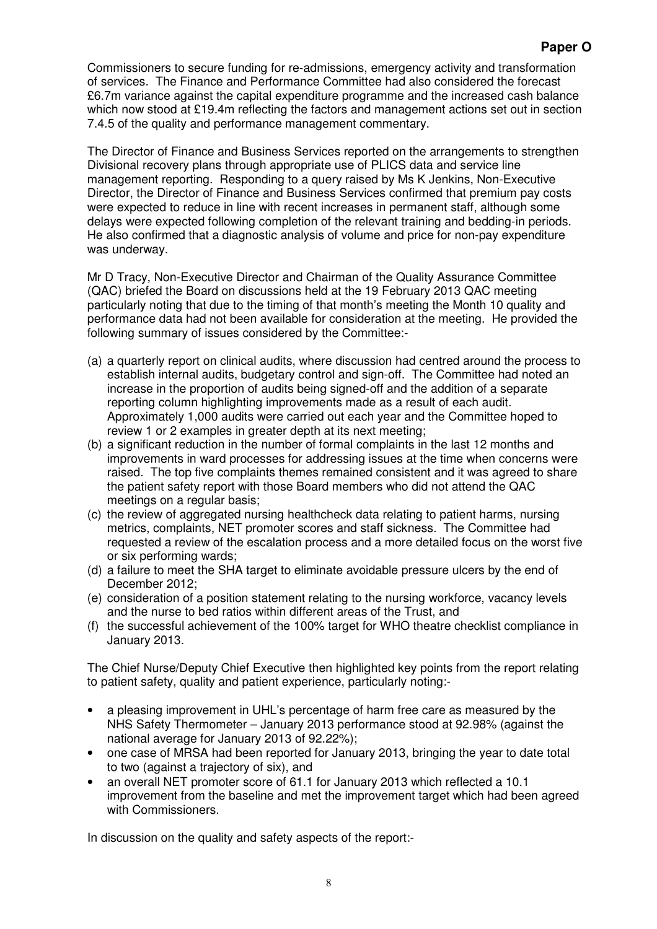# **Paper O**

Commissioners to secure funding for re-admissions, emergency activity and transformation of services. The Finance and Performance Committee had also considered the forecast £6.7m variance against the capital expenditure programme and the increased cash balance which now stood at £19.4m reflecting the factors and management actions set out in section 7.4.5 of the quality and performance management commentary.

The Director of Finance and Business Services reported on the arrangements to strengthen Divisional recovery plans through appropriate use of PLICS data and service line management reporting. Responding to a query raised by Ms K Jenkins, Non-Executive Director, the Director of Finance and Business Services confirmed that premium pay costs were expected to reduce in line with recent increases in permanent staff, although some delays were expected following completion of the relevant training and bedding-in periods. He also confirmed that a diagnostic analysis of volume and price for non-pay expenditure was underway.

 Mr D Tracy, Non-Executive Director and Chairman of the Quality Assurance Committee (QAC) briefed the Board on discussions held at the 19 February 2013 QAC meeting particularly noting that due to the timing of that month's meeting the Month 10 quality and performance data had not been available for consideration at the meeting. He provided the following summary of issues considered by the Committee:-

- (a) a quarterly report on clinical audits, where discussion had centred around the process to establish internal audits, budgetary control and sign-off. The Committee had noted an increase in the proportion of audits being signed-off and the addition of a separate reporting column highlighting improvements made as a result of each audit. Approximately 1,000 audits were carried out each year and the Committee hoped to review 1 or 2 examples in greater depth at its next meeting;
- (b) a significant reduction in the number of formal complaints in the last 12 months and improvements in ward processes for addressing issues at the time when concerns were raised. The top five complaints themes remained consistent and it was agreed to share the patient safety report with those Board members who did not attend the QAC meetings on a regular basis;
- (c) the review of aggregated nursing healthcheck data relating to patient harms, nursing metrics, complaints, NET promoter scores and staff sickness. The Committee had requested a review of the escalation process and a more detailed focus on the worst five or six performing wards;
- (d) a failure to meet the SHA target to eliminate avoidable pressure ulcers by the end of December 2012;
- (e) consideration of a position statement relating to the nursing workforce, vacancy levels and the nurse to bed ratios within different areas of the Trust, and
- (f) the successful achievement of the 100% target for WHO theatre checklist compliance in January 2013.

The Chief Nurse/Deputy Chief Executive then highlighted key points from the report relating to patient safety, quality and patient experience, particularly noting:-

- a pleasing improvement in UHL's percentage of harm free care as measured by the NHS Safety Thermometer – January 2013 performance stood at 92.98% (against the national average for January 2013 of 92.22%);
- one case of MRSA had been reported for January 2013, bringing the year to date total to two (against a trajectory of six), and
- an overall NET promoter score of 61.1 for January 2013 which reflected a 10.1 improvement from the baseline and met the improvement target which had been agreed with Commissioners.

In discussion on the quality and safety aspects of the report:-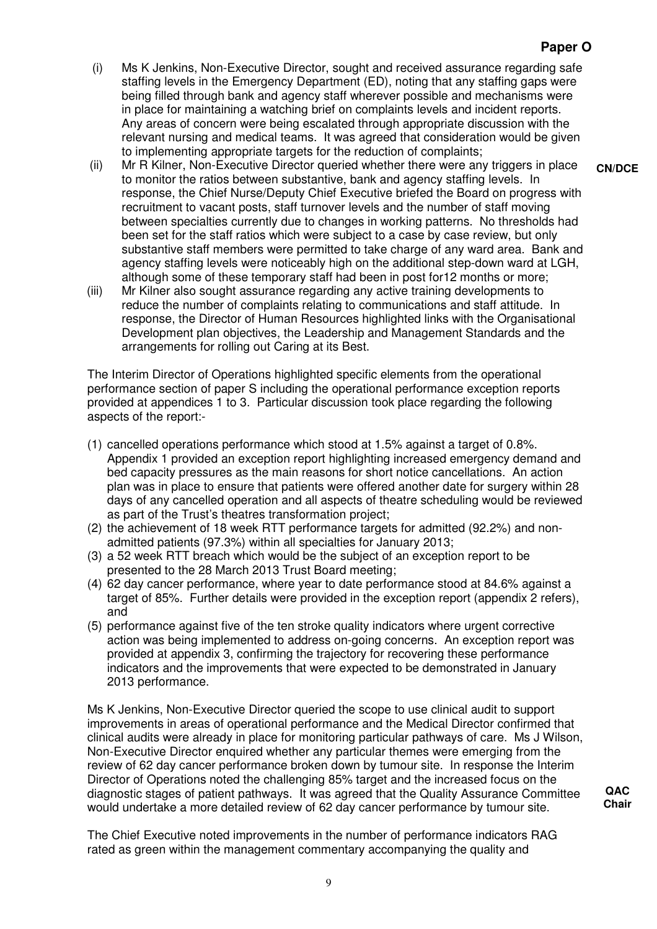- (i) Ms K Jenkins, Non-Executive Director, sought and received assurance regarding safe staffing levels in the Emergency Department (ED), noting that any staffing gaps were being filled through bank and agency staff wherever possible and mechanisms were in place for maintaining a watching brief on complaints levels and incident reports. Any areas of concern were being escalated through appropriate discussion with the relevant nursing and medical teams. It was agreed that consideration would be given to implementing appropriate targets for the reduction of complaints;
- (ii) Mr R Kilner, Non-Executive Director queried whether there were any triggers in place to monitor the ratios between substantive, bank and agency staffing levels. In response, the Chief Nurse/Deputy Chief Executive briefed the Board on progress with recruitment to vacant posts, staff turnover levels and the number of staff moving between specialties currently due to changes in working patterns. No thresholds had been set for the staff ratios which were subject to a case by case review, but only substantive staff members were permitted to take charge of any ward area. Bank and agency staffing levels were noticeably high on the additional step-down ward at LGH, although some of these temporary staff had been in post for12 months or more;
- (iii) Mr Kilner also sought assurance regarding any active training developments to reduce the number of complaints relating to communications and staff attitude. In response, the Director of Human Resources highlighted links with the Organisational Development plan objectives, the Leadership and Management Standards and the arrangements for rolling out Caring at its Best.

The Interim Director of Operations highlighted specific elements from the operational performance section of paper S including the operational performance exception reports provided at appendices 1 to 3. Particular discussion took place regarding the following aspects of the report:-

- (1) cancelled operations performance which stood at 1.5% against a target of 0.8%. Appendix 1 provided an exception report highlighting increased emergency demand and bed capacity pressures as the main reasons for short notice cancellations. An action plan was in place to ensure that patients were offered another date for surgery within 28 days of any cancelled operation and all aspects of theatre scheduling would be reviewed as part of the Trust's theatres transformation project;
- (2) the achievement of 18 week RTT performance targets for admitted (92.2%) and nonadmitted patients (97.3%) within all specialties for January 2013;
- (3) a 52 week RTT breach which would be the subject of an exception report to be presented to the 28 March 2013 Trust Board meeting;
- (4) 62 day cancer performance, where year to date performance stood at 84.6% against a target of 85%. Further details were provided in the exception report (appendix 2 refers), and
- (5) performance against five of the ten stroke quality indicators where urgent corrective action was being implemented to address on-going concerns. An exception report was provided at appendix 3, confirming the trajectory for recovering these performance indicators and the improvements that were expected to be demonstrated in January 2013 performance.

Ms K Jenkins, Non-Executive Director queried the scope to use clinical audit to support improvements in areas of operational performance and the Medical Director confirmed that clinical audits were already in place for monitoring particular pathways of care. Ms J Wilson, Non-Executive Director enquired whether any particular themes were emerging from the review of 62 day cancer performance broken down by tumour site. In response the Interim Director of Operations noted the challenging 85% target and the increased focus on the diagnostic stages of patient pathways. It was agreed that the Quality Assurance Committee would undertake a more detailed review of 62 day cancer performance by tumour site.

The Chief Executive noted improvements in the number of performance indicators RAG rated as green within the management commentary accompanying the quality and

**CN/DCE** 

**QAC Chair**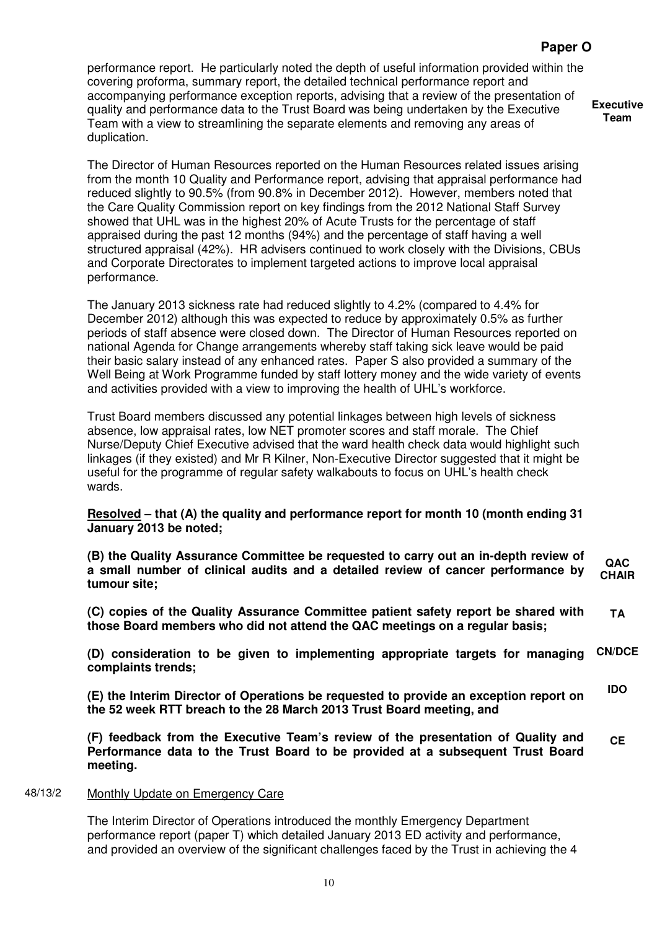# **Paper O**

performance report. He particularly noted the depth of useful information provided within the covering proforma, summary report, the detailed technical performance report and accompanying performance exception reports, advising that a review of the presentation of quality and performance data to the Trust Board was being undertaken by the Executive Team with a view to streamlining the separate elements and removing any areas of duplication.

**Executive Team** 

The Director of Human Resources reported on the Human Resources related issues arising from the month 10 Quality and Performance report, advising that appraisal performance had reduced slightly to 90.5% (from 90.8% in December 2012). However, members noted that the Care Quality Commission report on key findings from the 2012 National Staff Survey showed that UHL was in the highest 20% of Acute Trusts for the percentage of staff appraised during the past 12 months (94%) and the percentage of staff having a well structured appraisal (42%). HR advisers continued to work closely with the Divisions, CBUs and Corporate Directorates to implement targeted actions to improve local appraisal performance.

The January 2013 sickness rate had reduced slightly to 4.2% (compared to 4.4% for December 2012) although this was expected to reduce by approximately 0.5% as further periods of staff absence were closed down. The Director of Human Resources reported on national Agenda for Change arrangements whereby staff taking sick leave would be paid their basic salary instead of any enhanced rates. Paper S also provided a summary of the Well Being at Work Programme funded by staff lottery money and the wide variety of events and activities provided with a view to improving the health of UHL's workforce.

Trust Board members discussed any potential linkages between high levels of sickness absence, low appraisal rates, low NET promoter scores and staff morale. The Chief Nurse/Deputy Chief Executive advised that the ward health check data would highlight such linkages (if they existed) and Mr R Kilner, Non-Executive Director suggested that it might be useful for the programme of regular safety walkabouts to focus on UHL's health check wards.

### **Resolved – that (A) the quality and performance report for month 10 (month ending 31 January 2013 be noted;**

**(B) the Quality Assurance Committee be requested to carry out an in-depth review of a small number of clinical audits and a detailed review of cancer performance by tumour site; QAC CHAIR** 

**(C) copies of the Quality Assurance Committee patient safety report be shared with those Board members who did not attend the QAC meetings on a regular basis; TA** 

**(D) consideration to be given to implementing appropriate targets for managing complaints trends; CN/DCE** 

**(E) the Interim Director of Operations be requested to provide an exception report on the 52 week RTT breach to the 28 March 2013 Trust Board meeting, and IDO** 

**(F) feedback from the Executive Team's review of the presentation of Quality and Performance data to the Trust Board to be provided at a subsequent Trust Board meeting. CE** 

#### 48/13/2 Monthly Update on Emergency Care

The Interim Director of Operations introduced the monthly Emergency Department performance report (paper T) which detailed January 2013 ED activity and performance, and provided an overview of the significant challenges faced by the Trust in achieving the 4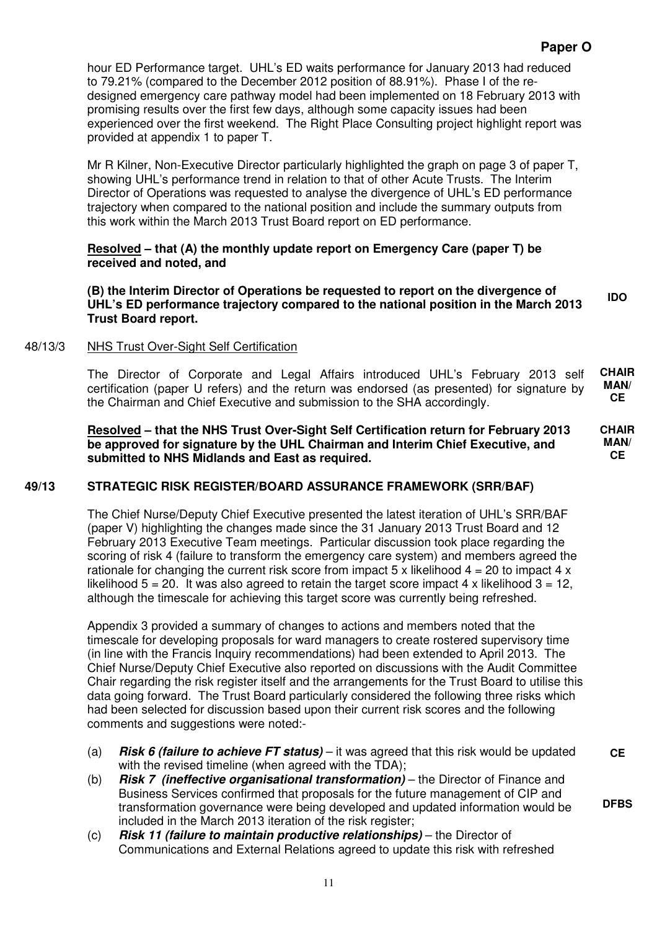# **Paper O**

hour ED Performance target. UHL's ED waits performance for January 2013 had reduced to 79.21% (compared to the December 2012 position of 88.91%). Phase I of the redesigned emergency care pathway model had been implemented on 18 February 2013 with promising results over the first few days, although some capacity issues had been experienced over the first weekend. The Right Place Consulting project highlight report was provided at appendix 1 to paper T.

Mr R Kilner, Non-Executive Director particularly highlighted the graph on page 3 of paper T, showing UHL's performance trend in relation to that of other Acute Trusts. The Interim Director of Operations was requested to analyse the divergence of UHL's ED performance trajectory when compared to the national position and include the summary outputs from this work within the March 2013 Trust Board report on ED performance.

# **Resolved – that (A) the monthly update report on Emergency Care (paper T) be received and noted, and**

**(B) the Interim Director of Operations be requested to report on the divergence of UHL's ED performance trajectory compared to the national position in the March 2013 Trust Board report. IDO** 

# 48/13/3 NHS Trust Over-Sight Self Certification

The Director of Corporate and Legal Affairs introduced UHL's February 2013 self certification (paper U refers) and the return was endorsed (as presented) for signature by the Chairman and Chief Executive and submission to the SHA accordingly. **CHAIR MAN/ CE** 

**Resolved – that the NHS Trust Over-Sight Self Certification return for February 2013 be approved for signature by the UHL Chairman and Interim Chief Executive, and submitted to NHS Midlands and East as required.** 

# **49/13 STRATEGIC RISK REGISTER/BOARD ASSURANCE FRAMEWORK (SRR/BAF)**

The Chief Nurse/Deputy Chief Executive presented the latest iteration of UHL's SRR/BAF (paper V) highlighting the changes made since the 31 January 2013 Trust Board and 12 February 2013 Executive Team meetings. Particular discussion took place regarding the scoring of risk 4 (failure to transform the emergency care system) and members agreed the rationale for changing the current risk score from impact 5 x likelihood  $4 = 20$  to impact 4 x likelihood  $5 = 20$ . It was also agreed to retain the target score impact 4 x likelihood  $3 = 12$ , although the timescale for achieving this target score was currently being refreshed.

Appendix 3 provided a summary of changes to actions and members noted that the timescale for developing proposals for ward managers to create rostered supervisory time (in line with the Francis Inquiry recommendations) had been extended to April 2013. The Chief Nurse/Deputy Chief Executive also reported on discussions with the Audit Committee Chair regarding the risk register itself and the arrangements for the Trust Board to utilise this data going forward. The Trust Board particularly considered the following three risks which had been selected for discussion based upon their current risk scores and the following comments and suggestions were noted:-

- (a) **Risk 6 (failure to achieve FT status)** it was agreed that this risk would be updated with the revised timeline (when agreed with the TDA); **CE**
- (b) **Risk 7 (ineffective organisational transformation)** the Director of Finance and Business Services confirmed that proposals for the future management of CIP and transformation governance were being developed and updated information would be included in the March 2013 iteration of the risk register;
- (c) **Risk 11 (failure to maintain productive relationships)** the Director of Communications and External Relations agreed to update this risk with refreshed

**CHAIR MAN/ CE**

**DFBS**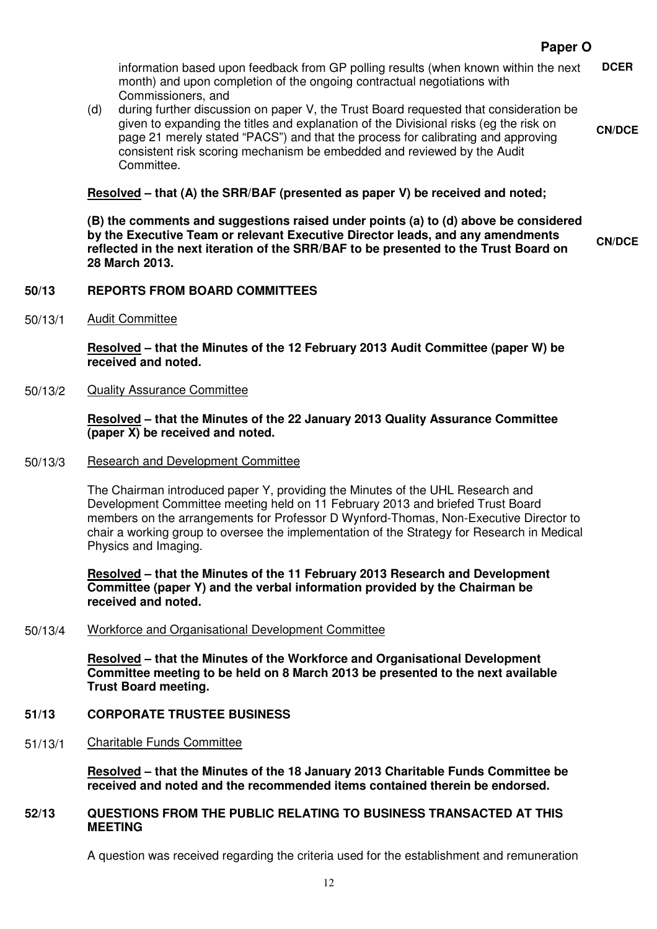**CN/DCE** 

information based upon feedback from GP polling results (when known within the next month) and upon completion of the ongoing contractual negotiations with Commissioners, and **DCER** 

(d) during further discussion on paper V, the Trust Board requested that consideration be given to expanding the titles and explanation of the Divisional risks (eg the risk on page 21 merely stated "PACS") and that the process for calibrating and approving consistent risk scoring mechanism be embedded and reviewed by the Audit Committee.

# **Resolved – that (A) the SRR/BAF (presented as paper V) be received and noted;**

**(B) the comments and suggestions raised under points (a) to (d) above be considered by the Executive Team or relevant Executive Director leads, and any amendments reflected in the next iteration of the SRR/BAF to be presented to the Trust Board on 28 March 2013. CN/DCE** 

**50/13 REPORTS FROM BOARD COMMITTEES** 

50/13/1 Audit Committee

**Resolved – that the Minutes of the 12 February 2013 Audit Committee (paper W) be received and noted.** 

50/13/2 Quality Assurance Committee

#### **Resolved – that the Minutes of the 22 January 2013 Quality Assurance Committee (paper X) be received and noted.**

50/13/3 Research and Development Committee

The Chairman introduced paper Y, providing the Minutes of the UHL Research and Development Committee meeting held on 11 February 2013 and briefed Trust Board members on the arrangements for Professor D Wynford-Thomas, Non-Executive Director to chair a working group to oversee the implementation of the Strategy for Research in Medical Physics and Imaging.

**Resolved – that the Minutes of the 11 February 2013 Research and Development Committee (paper Y) and the verbal information provided by the Chairman be received and noted.** 

50/13/4 Workforce and Organisational Development Committee

**Resolved – that the Minutes of the Workforce and Organisational Development Committee meeting to be held on 8 March 2013 be presented to the next available Trust Board meeting.** 

- **51/13 CORPORATE TRUSTEE BUSINESS**
- 51/13/1 Charitable Funds Committee

**Resolved – that the Minutes of the 18 January 2013 Charitable Funds Committee be received and noted and the recommended items contained therein be endorsed.** 

#### **52/13 QUESTIONS FROM THE PUBLIC RELATING TO BUSINESS TRANSACTED AT THIS MEETING**

A question was received regarding the criteria used for the establishment and remuneration